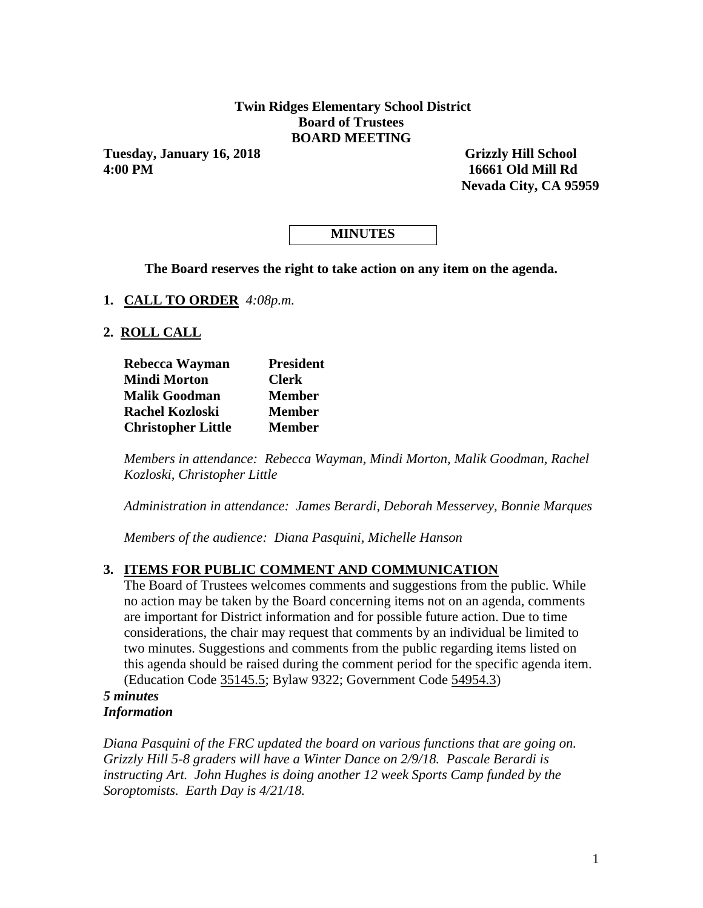#### **Twin Ridges Elementary School District Board of Trustees BOARD MEETING**

**Tuesday, January 16, 2018** Grizzly Hill School **4:00 PM 16661 Old Mill Rd**

 **Nevada City, CA 95959** 

# **MINUTES**

**The Board reserves the right to take action on any item on the agenda.**

**1. CALL TO ORDER** *4:08p.m.*

#### **2. ROLL CALL**

| Rebecca Wayman            | <b>President</b> |  |  |  |
|---------------------------|------------------|--|--|--|
| <b>Mindi Morton</b>       | <b>Clerk</b>     |  |  |  |
| <b>Malik Goodman</b>      | <b>Member</b>    |  |  |  |
| <b>Rachel Kozloski</b>    | <b>Member</b>    |  |  |  |
| <b>Christopher Little</b> | <b>Member</b>    |  |  |  |

*Members in attendance: Rebecca Wayman, Mindi Morton, Malik Goodman, Rachel Kozloski, Christopher Little*

*Administration in attendance: James Berardi, Deborah Messervey, Bonnie Marques*

*Members of the audience: Diana Pasquini, Michelle Hanson*

### **3. ITEMS FOR PUBLIC COMMENT AND COMMUNICATION**

The Board of Trustees welcomes comments and suggestions from the public. While no action may be taken by the Board concerning items not on an agenda, comments are important for District information and for possible future action. Due to time considerations, the chair may request that comments by an individual be limited to two minutes. Suggestions and comments from the public regarding items listed on this agenda should be raised during the comment period for the specific agenda item. (Education Code 35145.5; Bylaw 9322; Government Code 54954.3)

#### *5 minutes Information*

*Diana Pasquini of the FRC updated the board on various functions that are going on. Grizzly Hill 5-8 graders will have a Winter Dance on 2/9/18. Pascale Berardi is instructing Art. John Hughes is doing another 12 week Sports Camp funded by the Soroptomists. Earth Day is 4/21/18.*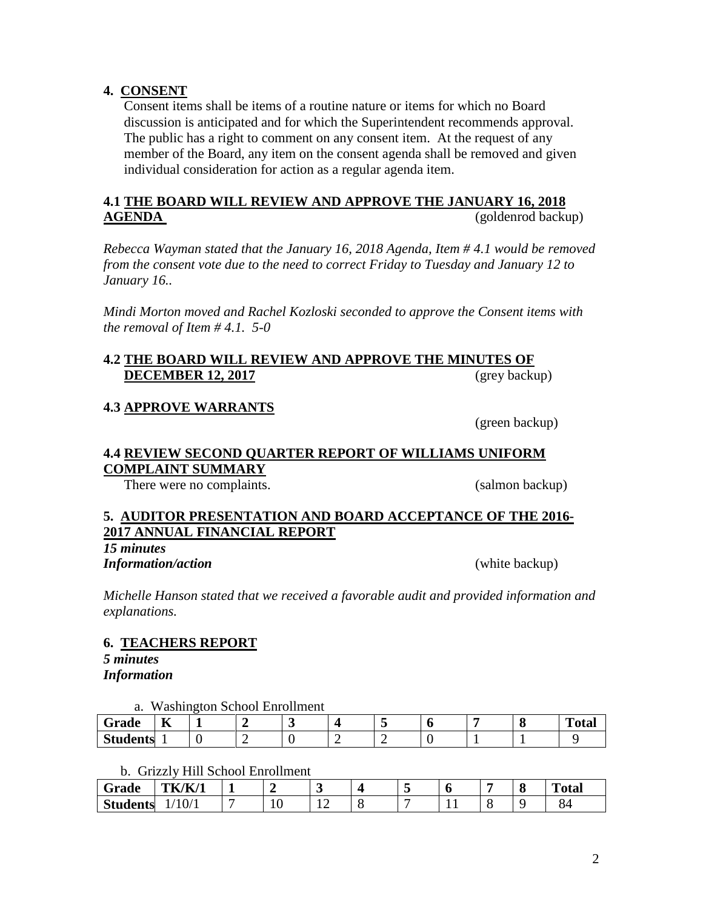### **4. CONSENT**

Consent items shall be items of a routine nature or items for which no Board discussion is anticipated and for which the Superintendent recommends approval. The public has a right to comment on any consent item. At the request of any member of the Board, any item on the consent agenda shall be removed and given individual consideration for action as a regular agenda item.

### **4.1 THE BOARD WILL REVIEW AND APPROVE THE JANUARY 16, 2018 AGENDA** (goldenrod backup)

*Rebecca Wayman stated that the January 16, 2018 Agenda, Item # 4.1 would be removed from the consent vote due to the need to correct Friday to Tuesday and January 12 to January 16..*

*Mindi Morton moved and Rachel Kozloski seconded to approve the Consent items with the removal of Item # 4.1. 5-0*

### **4.2 THE BOARD WILL REVIEW AND APPROVE THE MINUTES OF DECEMBER 12, 2017** (grey backup)

#### **4.3 APPROVE WARRANTS**

(green backup)

#### **4.4 REVIEW SECOND QUARTER REPORT OF WILLIAMS UNIFORM COMPLAINT SUMMARY**

There were no complaints. (salmon backup)

### **5. AUDITOR PRESENTATION AND BOARD ACCEPTANCE OF THE 2016- 2017 ANNUAL FINANCIAL REPORT**

*15 minutes Information/action* (white backup)

*Michelle Hanson stated that we received a favorable audit and provided information and explanations.*

### **6. TEACHERS REPORT**

*5 minutes Information*

a. Washington School Enrollment

| $\sim$<br>Grade | $-$<br>77 |   | -<br>$\overline{\phantom{a}}$ |   |  | ╭<br>ч. | $\mathbf{r}$<br>`otal |
|-----------------|-----------|---|-------------------------------|---|--|---------|-----------------------|
| <b>Students</b> |           | - |                               | ∽ |  |         |                       |

b. Grizzly Hill School Enrollment

| Grade           | <b>TK/K/1</b> |              | -   |  |     | О | <b>Total</b> |
|-----------------|---------------|--------------|-----|--|-----|---|--------------|
| <b>Students</b> | 10/1          | $\sim$<br>ΙV | . . |  | . . |   | O5.          |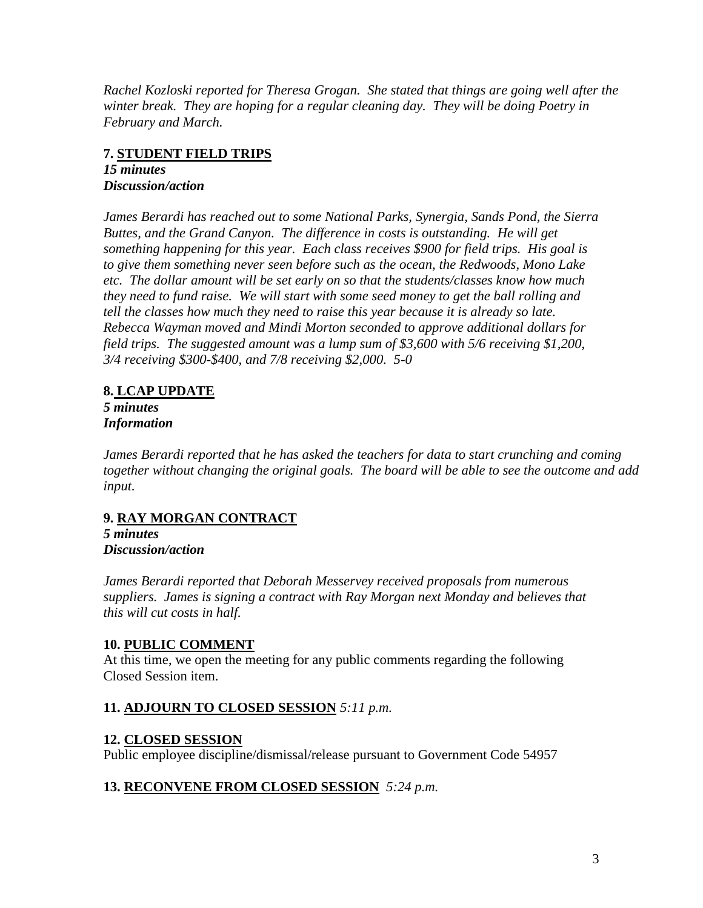*Rachel Kozloski reported for Theresa Grogan. She stated that things are going well after the winter break. They are hoping for a regular cleaning day. They will be doing Poetry in February and March.* 

# **7. STUDENT FIELD TRIPS**

*15 minutes Discussion/action*

*James Berardi has reached out to some National Parks, Synergia, Sands Pond, the Sierra Buttes, and the Grand Canyon. The difference in costs is outstanding. He will get something happening for this year. Each class receives \$900 for field trips. His goal is to give them something never seen before such as the ocean, the Redwoods, Mono Lake etc. The dollar amount will be set early on so that the students/classes know how much they need to fund raise. We will start with some seed money to get the ball rolling and tell the classes how much they need to raise this year because it is already so late. Rebecca Wayman moved and Mindi Morton seconded to approve additional dollars for field trips. The suggested amount was a lump sum of \$3,600 with 5/6 receiving \$1,200, 3/4 receiving \$300-\$400, and 7/8 receiving \$2,000. 5-0*

## **8. LCAP UPDATE**

*5 minutes Information*

*James Berardi reported that he has asked the teachers for data to start crunching and coming together without changing the original goals. The board will be able to see the outcome and add input.*

## **9. RAY MORGAN CONTRACT**

*5 minutes Discussion/action*

*James Berardi reported that Deborah Messervey received proposals from numerous suppliers. James is signing a contract with Ray Morgan next Monday and believes that this will cut costs in half.*

## **10. PUBLIC COMMENT**

At this time, we open the meeting for any public comments regarding the following Closed Session item.

## **11. ADJOURN TO CLOSED SESSION** *5:11 p.m.*

## **12. CLOSED SESSION**

Public employee discipline/dismissal/release pursuant to Government Code 54957

## **13. RECONVENE FROM CLOSED SESSION** *5:24 p.m.*